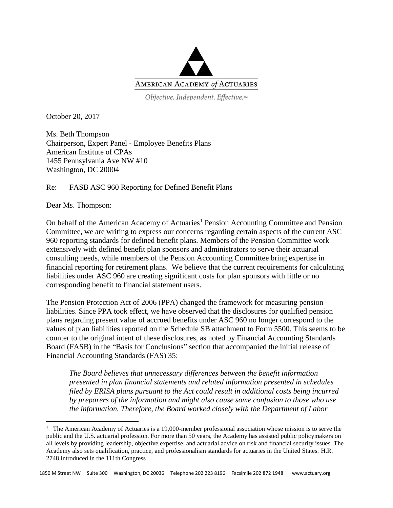

Objective. Independent. Effective.™

October 20, 2017

Ms. Beth Thompson Chairperson, Expert Panel - Employee Benefits Plans American Institute of CPAs 1455 Pennsylvania Ave NW #10 Washington, DC 20004

Re: FASB ASC 960 Reporting for Defined Benefit Plans

Dear Ms. Thompson:

 $\overline{a}$ 

On behalf of the American Academy of Actuaries<sup>1</sup> Pension Accounting Committee and Pension Committee, we are writing to express our concerns regarding certain aspects of the current ASC 960 reporting standards for defined benefit plans. Members of the Pension Committee work extensively with defined benefit plan sponsors and administrators to serve their actuarial consulting needs, while members of the Pension Accounting Committee bring expertise in financial reporting for retirement plans. We believe that the current requirements for calculating liabilities under ASC 960 are creating significant costs for plan sponsors with little or no corresponding benefit to financial statement users.

The Pension Protection Act of 2006 (PPA) changed the framework for measuring pension liabilities. Since PPA took effect, we have observed that the disclosures for qualified pension plans regarding present value of accrued benefits under ASC 960 no longer correspond to the values of plan liabilities reported on the Schedule SB attachment to Form 5500. This seems to be counter to the original intent of these disclosures, as noted by Financial Accounting Standards Board (FASB) in the "Basis for Conclusions" section that accompanied the initial release of Financial Accounting Standards (FAS) 35:

*The Board believes that unnecessary differences between the benefit information presented in plan financial statements and related information presented in schedules filed by ERISA plans pursuant to the Act could result in additional costs being incurred by preparers of the information and might also cause some confusion to those who use the information. Therefore, the Board worked closely with the Department of Labor* 

<sup>&</sup>lt;sup>1</sup> The American Academy of Actuaries is a 19,000-member professional association whose mission is to serve the public and the U.S. actuarial profession. For more than 50 years, the Academy has assisted public policymakers on all levels by providing leadership, objective expertise, and actuarial advice on risk and financial security issues. The Academy also sets qualification, practice, and professionalism standards for actuaries in the United States. H.R. 2748 introduced in the 111th Congress